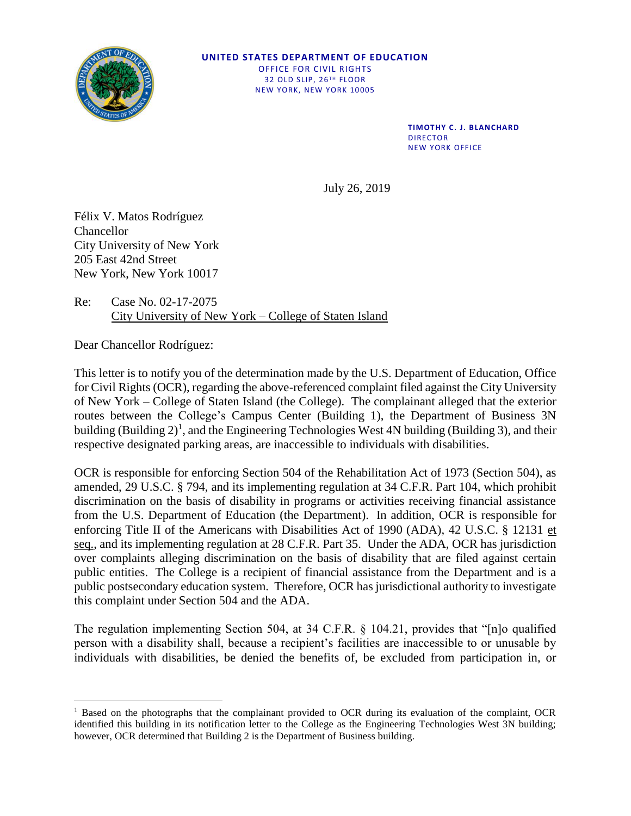

## **UNITED STATES DEPARTMENT OF EDUCATION** OFFICE FOR CIVIL RIGHTS 32 OLD SLIP, 26TH FLOOR NEW YORK, NEW YORK 10005

**TIMOTHY C. J. BLANCHARD** DIRECTOR NEW YORK OFFICE

July 26, 2019

Félix V. Matos Rodríguez Chancellor City University of New York 205 East 42nd Street New York, New York 10017

Re: Case No. 02-17-2075 City University of New York – College of Staten Island

Dear Chancellor Rodríguez:

This letter is to notify you of the determination made by the U.S. Department of Education, Office for Civil Rights (OCR), regarding the above-referenced complaint filed against the City University of New York – College of Staten Island (the College). The complainant alleged that the exterior routes between the College's Campus Center (Building 1), the Department of Business 3N building (Building  $2^1$ , and the Engineering Technologies West 4N building (Building 3), and their respective designated parking areas, are inaccessible to individuals with disabilities.

OCR is responsible for enforcing Section 504 of the Rehabilitation Act of 1973 (Section 504), as amended, 29 U.S.C. § 794, and its implementing regulation at 34 C.F.R. Part 104, which prohibit discrimination on the basis of disability in programs or activities receiving financial assistance from the U.S. Department of Education (the Department). In addition, OCR is responsible for enforcing Title II of the Americans with Disabilities Act of 1990 (ADA), 42 U.S.C. § 12131 et seq., and its implementing regulation at 28 C.F.R. Part 35. Under the ADA, OCR has jurisdiction over complaints alleging discrimination on the basis of disability that are filed against certain public entities. The College is a recipient of financial assistance from the Department and is a public postsecondary education system. Therefore, OCR has jurisdictional authority to investigate this complaint under Section 504 and the ADA.

The regulation implementing Section 504, at 34 C.F.R. § 104.21, provides that "[n]o qualified person with a disability shall, because a recipient's facilities are inaccessible to or unusable by individuals with disabilities, be denied the benefits of, be excluded from participation in, or

<sup>&</sup>lt;sup>1</sup> Based on the photographs that the complainant provided to OCR during its evaluation of the complaint, OCR identified this building in its notification letter to the College as the Engineering Technologies West 3N building; however, OCR determined that Building 2 is the Department of Business building.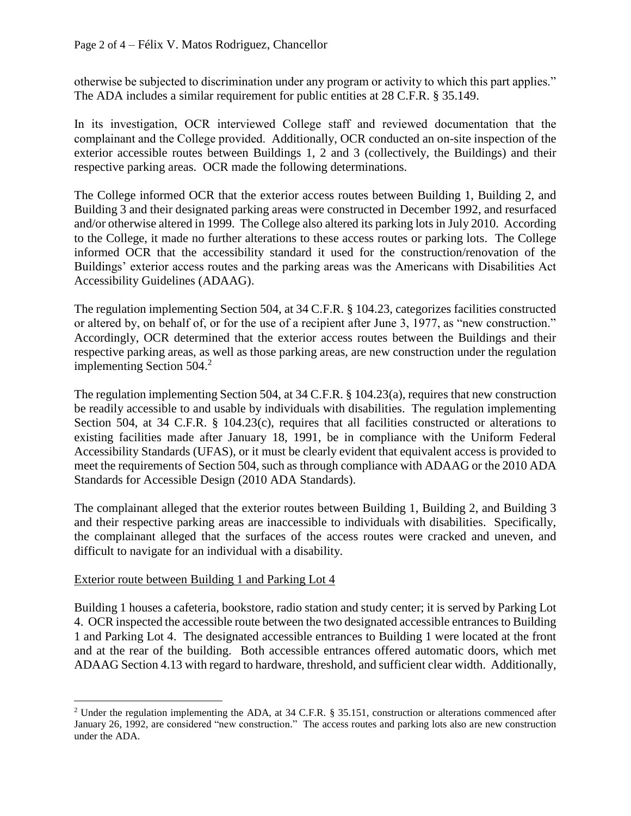otherwise be subjected to discrimination under any program or activity to which this part applies." The ADA includes a similar requirement for public entities at 28 C.F.R. § 35.149.

In its investigation, OCR interviewed College staff and reviewed documentation that the complainant and the College provided. Additionally, OCR conducted an on-site inspection of the exterior accessible routes between Buildings 1, 2 and 3 (collectively, the Buildings) and their respective parking areas. OCR made the following determinations.

The College informed OCR that the exterior access routes between Building 1, Building 2, and Building 3 and their designated parking areas were constructed in December 1992, and resurfaced and/or otherwise altered in 1999. The College also altered its parking lots in July 2010. According to the College, it made no further alterations to these access routes or parking lots. The College informed OCR that the accessibility standard it used for the construction/renovation of the Buildings' exterior access routes and the parking areas was the Americans with Disabilities Act Accessibility Guidelines (ADAAG).

The regulation implementing Section 504, at 34 C.F.R. § 104.23, categorizes facilities constructed or altered by, on behalf of, or for the use of a recipient after June 3, 1977, as "new construction." Accordingly, OCR determined that the exterior access routes between the Buildings and their respective parking areas, as well as those parking areas, are new construction under the regulation implementing Section  $504.<sup>2</sup>$ 

The regulation implementing Section 504, at 34 C.F.R. § 104.23(a), requires that new construction be readily accessible to and usable by individuals with disabilities. The regulation implementing Section 504, at 34 C.F.R. § 104.23(c), requires that all facilities constructed or alterations to existing facilities made after January 18, 1991, be in compliance with the Uniform Federal Accessibility Standards (UFAS), or it must be clearly evident that equivalent access is provided to meet the requirements of Section 504, such as through compliance with ADAAG or the 2010 ADA Standards for Accessible Design (2010 ADA Standards).

The complainant alleged that the exterior routes between Building 1, Building 2, and Building 3 and their respective parking areas are inaccessible to individuals with disabilities. Specifically, the complainant alleged that the surfaces of the access routes were cracked and uneven, and difficult to navigate for an individual with a disability.

## Exterior route between Building 1 and Parking Lot 4

Building 1 houses a cafeteria, bookstore, radio station and study center; it is served by Parking Lot 4. OCR inspected the accessible route between the two designated accessible entrances to Building 1 and Parking Lot 4. The designated accessible entrances to Building 1 were located at the front and at the rear of the building. Both accessible entrances offered automatic doors, which met ADAAG Section 4.13 with regard to hardware, threshold, and sufficient clear width. Additionally,

<sup>2</sup> Under the regulation implementing the ADA, at 34 C.F.R. § 35.151, construction or alterations commenced after January 26, 1992, are considered "new construction." The access routes and parking lots also are new construction under the ADA.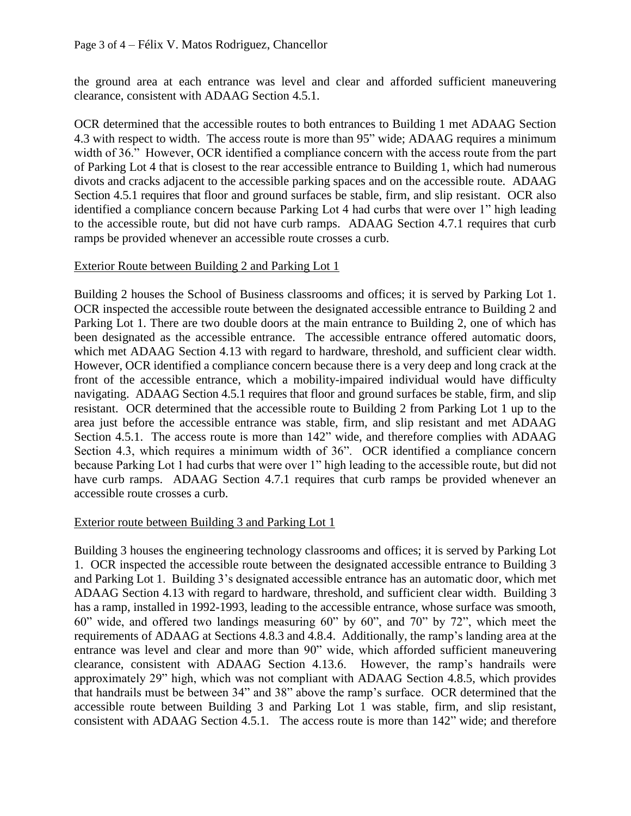the ground area at each entrance was level and clear and afforded sufficient maneuvering clearance, consistent with ADAAG Section 4.5.1.

OCR determined that the accessible routes to both entrances to Building 1 met ADAAG Section 4.3 with respect to width. The access route is more than 95" wide; ADAAG requires a minimum width of 36." However, OCR identified a compliance concern with the access route from the part of Parking Lot 4 that is closest to the rear accessible entrance to Building 1, which had numerous divots and cracks adjacent to the accessible parking spaces and on the accessible route. ADAAG Section 4.5.1 requires that floor and ground surfaces be stable, firm, and slip resistant. OCR also identified a compliance concern because Parking Lot 4 had curbs that were over 1" high leading to the accessible route, but did not have curb ramps. ADAAG Section 4.7.1 requires that curb ramps be provided whenever an accessible route crosses a curb.

## Exterior Route between Building 2 and Parking Lot 1

Building 2 houses the School of Business classrooms and offices; it is served by Parking Lot 1. OCR inspected the accessible route between the designated accessible entrance to Building 2 and Parking Lot 1. There are two double doors at the main entrance to Building 2, one of which has been designated as the accessible entrance. The accessible entrance offered automatic doors, which met ADAAG Section 4.13 with regard to hardware, threshold, and sufficient clear width. However, OCR identified a compliance concern because there is a very deep and long crack at the front of the accessible entrance, which a mobility-impaired individual would have difficulty navigating. ADAAG Section 4.5.1 requires that floor and ground surfaces be stable, firm, and slip resistant. OCR determined that the accessible route to Building 2 from Parking Lot 1 up to the area just before the accessible entrance was stable, firm, and slip resistant and met ADAAG Section 4.5.1. The access route is more than 142" wide, and therefore complies with ADAAG Section 4.3, which requires a minimum width of 36". OCR identified a compliance concern because Parking Lot 1 had curbs that were over 1" high leading to the accessible route, but did not have curb ramps. ADAAG Section 4.7.1 requires that curb ramps be provided whenever an accessible route crosses a curb.

## Exterior route between Building 3 and Parking Lot 1

Building 3 houses the engineering technology classrooms and offices; it is served by Parking Lot 1. OCR inspected the accessible route between the designated accessible entrance to Building 3 and Parking Lot 1. Building 3's designated accessible entrance has an automatic door, which met ADAAG Section 4.13 with regard to hardware, threshold, and sufficient clear width. Building 3 has a ramp, installed in 1992-1993, leading to the accessible entrance, whose surface was smooth, 60" wide, and offered two landings measuring 60" by 60", and 70" by 72", which meet the requirements of ADAAG at Sections 4.8.3 and 4.8.4. Additionally, the ramp's landing area at the entrance was level and clear and more than 90" wide, which afforded sufficient maneuvering clearance, consistent with ADAAG Section 4.13.6. However, the ramp's handrails were approximately 29" high, which was not compliant with ADAAG Section 4.8.5, which provides that handrails must be between 34" and 38" above the ramp's surface. OCR determined that the accessible route between Building 3 and Parking Lot 1 was stable, firm, and slip resistant, consistent with ADAAG Section 4.5.1. The access route is more than 142" wide; and therefore